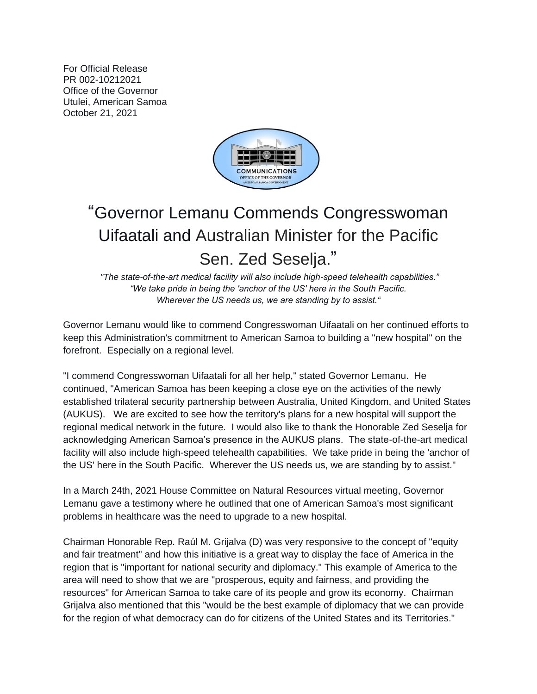For Official Release PR 002-10212021 Office of the Governor Utulei, American Samoa October 21, 2021



## "Governor Lemanu Commends Congresswoman Uifaatali and Australian Minister for the Pacific Sen. Zed Seselja."

*"The state-of-the-art medical facility will also include high-speed telehealth capabilities." "We take pride in being the 'anchor of the US' here in the South Pacific. Wherever the US needs us, we are standing by to assist."*

Governor Lemanu would like to commend Congresswoman Uifaatali on her continued efforts to keep this Administration's commitment to American Samoa to building a "new hospital" on the forefront. Especially on a regional level.

"I commend Congresswoman Uifaatali for all her help," stated Governor Lemanu. He continued, "American Samoa has been keeping a close eye on the activities of the newly established trilateral security partnership between Australia, United Kingdom, and United States (AUKUS). We are excited to see how the territory's plans for a new hospital will support the regional medical network in the future. I would also like to thank the Honorable Zed Seselja for acknowledging American Samoa's presence in the AUKUS plans. The state-of-the-art medical facility will also include high-speed telehealth capabilities. We take pride in being the 'anchor of the US' here in the South Pacific. Wherever the US needs us, we are standing by to assist."

In a March 24th, 2021 House Committee on Natural Resources virtual meeting, Governor Lemanu gave a testimony where he outlined that one of American Samoa's most significant problems in healthcare was the need to upgrade to a new hospital.

Chairman Honorable Rep. Raúl M. Grijalva (D) was very responsive to the concept of "equity and fair treatment" and how this initiative is a great way to display the face of America in the region that is "important for national security and diplomacy." This example of America to the area will need to show that we are "prosperous, equity and fairness, and providing the resources" for American Samoa to take care of its people and grow its economy. Chairman Grijalva also mentioned that this "would be the best example of diplomacy that we can provide for the region of what democracy can do for citizens of the United States and its Territories."